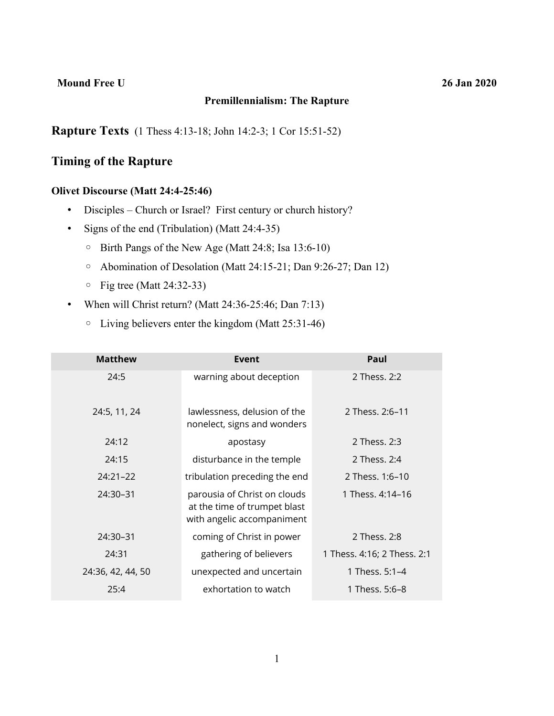#### **Mound Free U 26 Jan 2020**

#### **Premillennialism: The Rapture**

**Rapture Texts** (1 Thess 4:13-18; John 14:2-3; 1 Cor 15:51-52)

# **Timing of the Rapture**

## **Olivet Discourse (Matt 24:4-25:46)**

- Disciples Church or Israel? First century or church history?
- Signs of the end (Tribulation) (Matt 24:4-35)
	- Birth Pangs of the New Age (Matt 24:8; Isa 13:6-10)
	- Abomination of Desolation (Matt 24:15-21; Dan 9:26-27; Dan 12)
	- Fig tree (Matt 24:32-33)
- When will Christ return? (Matt 24:36-25:46; Dan 7:13)
	- Living believers enter the kingdom (Matt 25:31-46)

| <b>Matthew</b>    | Event                                                                                      | Paul                        |
|-------------------|--------------------------------------------------------------------------------------------|-----------------------------|
| 24:5              | warning about deception                                                                    | 2 Thess. 2:2                |
| 24:5, 11, 24      | lawlessness, delusion of the<br>nonelect, signs and wonders                                | 2 Thess. 2:6-11             |
| 24:12             | apostasy                                                                                   | 2 Thess, 2:3                |
| 24:15             | disturbance in the temple                                                                  | 2 Thess, 2:4                |
| $24:21 - 22$      | tribulation preceding the end                                                              | 2 Thess. 1:6–10             |
| 24:30-31          | parousia of Christ on clouds<br>at the time of trumpet blast<br>with angelic accompaniment | 1 Thess, 4:14–16            |
| 24:30-31          | coming of Christ in power                                                                  | 2 Thess. 2:8                |
| 24:31             | gathering of believers                                                                     | 1 Thess. 4:16; 2 Thess. 2:1 |
| 24:36, 42, 44, 50 | unexpected and uncertain                                                                   | 1 Thess. 5:1-4              |
| 25:4              | exhortation to watch                                                                       | 1 Thess. 5:6-8              |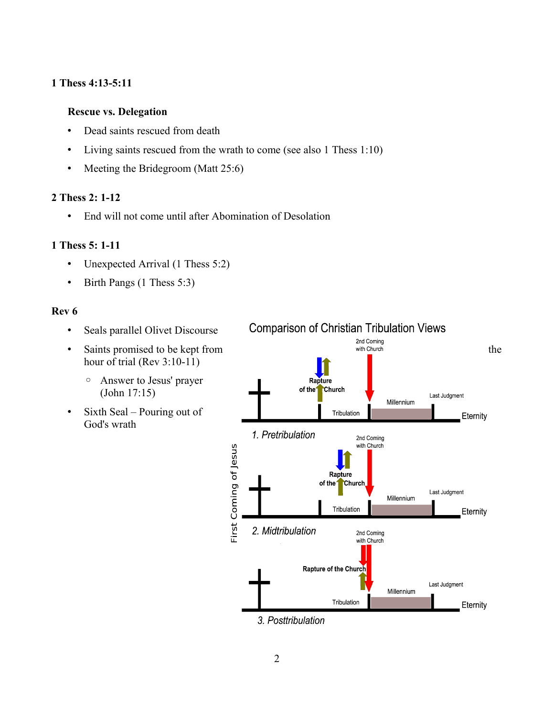### **1 Thess 4:13-5:11**

### **Rescue vs. Delegation**

- Dead saints rescued from death
- Living saints rescued from the wrath to come (see also 1 Thess 1:10)
- Meeting the Bridegroom (Matt 25:6)

#### **2 Thess 2: 1-12**

• End will not come until after Abomination of Desolation

#### **1 Thess 5: 1-11**

- Unexpected Arrival (1 Thess 5:2)
- Birth Pangs (1 Thess 5:3)

#### **Rev 6**

- Seals parallel Olivet Discourse
- hour of trial (Rev 3:10-11)
	- Answer to Jesus' prayer (John 17:15)
- Sixth Seal Pouring out of God's wrath

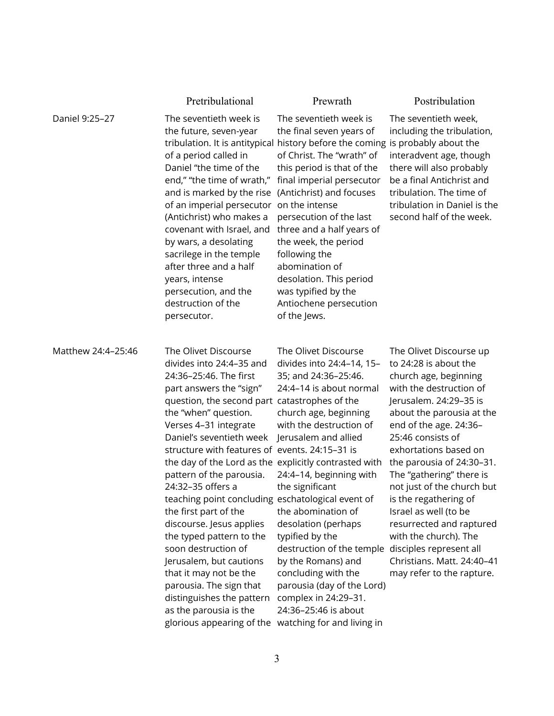|                    | Pretribulational                                                                                                                                                                                                                                                                                                                                                                                                                                                                                                                                                                                                                                                                                                                                            | Prewrath                                                                                                                                                                                                                                                                                                                                                                                                                                                            | Postribulation                                                                                                                                                                                                                                                                                                                                                                                                                                                                                                          |
|--------------------|-------------------------------------------------------------------------------------------------------------------------------------------------------------------------------------------------------------------------------------------------------------------------------------------------------------------------------------------------------------------------------------------------------------------------------------------------------------------------------------------------------------------------------------------------------------------------------------------------------------------------------------------------------------------------------------------------------------------------------------------------------------|---------------------------------------------------------------------------------------------------------------------------------------------------------------------------------------------------------------------------------------------------------------------------------------------------------------------------------------------------------------------------------------------------------------------------------------------------------------------|-------------------------------------------------------------------------------------------------------------------------------------------------------------------------------------------------------------------------------------------------------------------------------------------------------------------------------------------------------------------------------------------------------------------------------------------------------------------------------------------------------------------------|
| Daniel 9:25-27     | The seventieth week is<br>the future, seven-year<br>of a period called in<br>Daniel "the time of the<br>end," "the time of wrath,"<br>and is marked by the rise<br>of an imperial persecutor<br>(Antichrist) who makes a<br>covenant with Israel, and<br>by wars, a desolating<br>sacrilege in the temple<br>after three and a half<br>years, intense<br>persecution, and the<br>destruction of the<br>persecutor.                                                                                                                                                                                                                                                                                                                                          | The seventieth week is<br>the final seven years of<br>tribulation. It is antitypical history before the coming<br>of Christ. The "wrath" of<br>this period is that of the<br>final imperial persecutor<br>(Antichrist) and focuses<br>on the intense<br>persecution of the last<br>three and a half years of<br>the week, the period<br>following the<br>abomination of<br>desolation. This period<br>was typified by the<br>Antiochene persecution<br>of the Jews. | The seventieth week,<br>including the tribulation,<br>is probably about the<br>interadvent age, though<br>there will also probably<br>be a final Antichrist and<br>tribulation. The time of<br>tribulation in Daniel is the<br>second half of the week.                                                                                                                                                                                                                                                                 |
| Matthew 24:4-25:46 | The Olivet Discourse<br>divides into 24:4-35 and<br>24:36-25:46. The first<br>part answers the "sign"<br>question, the second part catastrophes of the<br>the "when" question.<br>Verses 4-31 integrate<br>Daniel's seventieth week<br>structure with features of events. 24:15-31 is<br>the day of the Lord as the explicitly contrasted with<br>pattern of the parousia.<br>24:32-35 offers a<br>teaching point concluding eschatological event of<br>the first part of the<br>discourse. Jesus applies<br>the typed pattern to the<br>soon destruction of<br>Jerusalem, but cautions<br>that it may not be the<br>parousia. The sign that<br>distinguishes the pattern<br>as the parousia is the<br>glorious appearing of the watching for and living in | The Olivet Discourse<br>divides into 24:4-14, 15-<br>35; and 24:36-25:46.<br>24:4-14 is about normal<br>church age, beginning<br>with the destruction of<br>Jerusalem and allied<br>24:4-14, beginning with<br>the significant<br>the abomination of<br>desolation (perhaps<br>typified by the<br>destruction of the temple<br>by the Romans) and<br>concluding with the<br>parousia (day of the Lord)<br>complex in 24:29-31.<br>24:36-25:46 is about              | The Olivet Discourse up<br>to 24:28 is about the<br>church age, beginning<br>with the destruction of<br>Jerusalem. 24:29-35 is<br>about the parousia at the<br>end of the age. 24:36-<br>25:46 consists of<br>exhortations based on<br>the parousia of 24:30-31.<br>The "gathering" there is<br>not just of the church but<br>is the regathering of<br>Israel as well (to be<br>resurrected and raptured<br>with the church). The<br>disciples represent all<br>Christians. Matt. 24:40-41<br>may refer to the rapture. |

3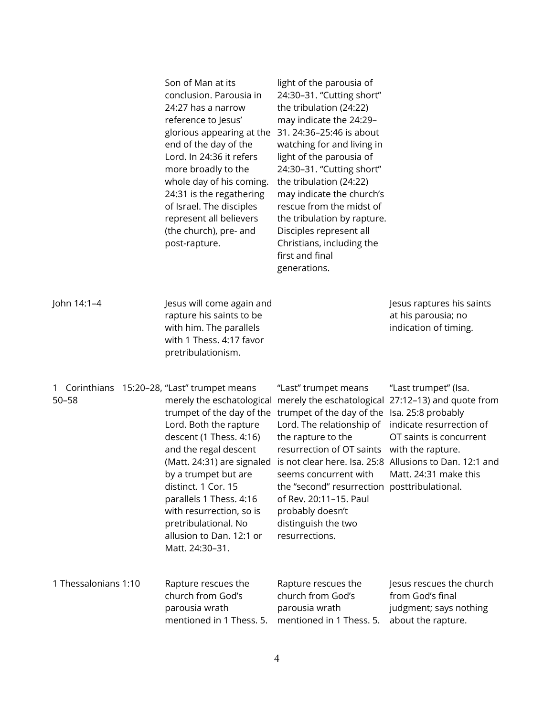|                                                               | Son of Man at its<br>conclusion. Parousia in<br>24:27 has a narrow<br>reference to Jesus'<br>glorious appearing at the<br>end of the day of the<br>Lord. In 24:36 it refers<br>more broadly to the<br>whole day of his coming.<br>24:31 is the regathering<br>of Israel. The disciples<br>represent all believers<br>(the church), pre- and<br>post-rapture. | light of the parousia of<br>24:30-31. "Cutting short"<br>the tribulation (24:22)<br>may indicate the 24:29-<br>31. 24:36-25:46 is about<br>watching for and living in<br>light of the parousia of<br>24:30-31. "Cutting short"<br>the tribulation (24:22)<br>may indicate the church's<br>rescue from the midst of<br>the tribulation by rapture.<br>Disciples represent all<br>Christians, including the<br>first and final<br>generations. |                                                                                                                                                                                                           |
|---------------------------------------------------------------|--------------------------------------------------------------------------------------------------------------------------------------------------------------------------------------------------------------------------------------------------------------------------------------------------------------------------------------------------------------|----------------------------------------------------------------------------------------------------------------------------------------------------------------------------------------------------------------------------------------------------------------------------------------------------------------------------------------------------------------------------------------------------------------------------------------------|-----------------------------------------------------------------------------------------------------------------------------------------------------------------------------------------------------------|
| John 14:1-4                                                   | Jesus will come again and<br>rapture his saints to be<br>with him. The parallels<br>with 1 Thess. 4:17 favor<br>pretribulationism.                                                                                                                                                                                                                           |                                                                                                                                                                                                                                                                                                                                                                                                                                              | Jesus raptures his saints<br>at his parousia; no<br>indication of timing.                                                                                                                                 |
| Corinthians 15:20-28, "Last" trumpet means<br>1.<br>$50 - 58$ | merely the eschatological<br>trumpet of the day of the<br>Lord. Both the rapture<br>descent (1 Thess. 4:16)<br>and the regal descent<br>(Matt. 24:31) are signaled<br>by a trumpet but are<br>distinct. 1 Cor. 15<br>parallels 1 Thess. 4:16<br>with resurrection, so is<br>pretribulational. No<br>allusion to Dan. 12:1 or<br>Matt. 24:30-31.              | "Last" trumpet means<br>merely the eschatological<br>trumpet of the day of the<br>Lord. The relationship of<br>the rapture to the<br>resurrection of OT saints<br>is not clear here. Isa. 25:8<br>seems concurrent with<br>the "second" resurrection posttribulational.<br>of Rev. 20:11-15. Paul<br>probably doesn't<br>distinguish the two<br>resurrections.                                                                               | "Last trumpet" (Isa.<br>27:12-13) and quote from<br>Isa. 25:8 probably<br>indicate resurrection of<br>OT saints is concurrent<br>with the rapture.<br>Allusions to Dan. 12:1 and<br>Matt. 24:31 make this |
| 1 Thessalonians 1:10                                          | Rapture rescues the<br>church from God's<br>parousia wrath<br>mentioned in 1 Thess. 5.                                                                                                                                                                                                                                                                       | Rapture rescues the<br>church from God's<br>parousia wrath<br>mentioned in 1 Thess. 5.                                                                                                                                                                                                                                                                                                                                                       | Jesus rescues the church<br>from God's final<br>judgment; says nothing<br>about the rapture.                                                                                                              |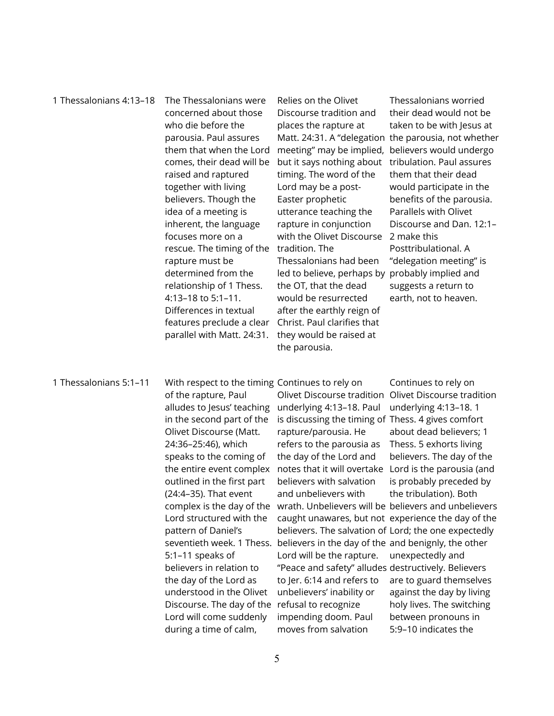1 Thessalonians 4:13–18 The Thessalonians were concerned about those who die before the parousia. Paul assures them that when the Lord comes, their dead will be raised and raptured together with living believers. Though the idea of a meeting is inherent, the language focuses more on a rescue. The timing of the tradition. The rapture must be determined from the relationship of 1 Thess. 4:13–18 to 5:1–11. Differences in textual features preclude a clear parallel with Matt. 24:31. Relies on the Olivet Discourse tradition and places the rapture at Matt. 24:31. A "delegation the parousia, not whether meeting" may be implied, but it says nothing about timing. The word of the Lord may be a post-Easter prophetic utterance teaching the rapture in conjunction with the Olivet Discourse Thessalonians had been led to believe, perhaps by the OT, that the dead would be resurrected after the earthly reign of Christ. Paul clarifies that they would be raised at

Thessalonians worried their dead would not be taken to be with Jesus at believers would undergo tribulation. Paul assures them that their dead would participate in the benefits of the parousia. Parallels with Olivet Discourse and Dan. 12:1– 2 make this Posttribulational. A "delegation meeting" is probably implied and suggests a return to earth, not to heaven.

#### 1 Thessalonians 5:1–11 With respect to the timing Continues to rely on

of the rapture, Paul alludes to Jesus' teaching underlying 4:13–18. Paul in the second part of the Olivet Discourse (Matt. 24:36–25:46), which speaks to the coming of outlined in the first part (24:4–35). That event Lord structured with the pattern of Daniel's 5:1–11 speaks of believers in relation to the day of the Lord as understood in the Olivet Discourse. The day of the refusal to recognize Lord will come suddenly during a time of calm,

the entire event complex notes that it will overtake complex is the day of the wrath. Unbelievers will be believers and unbelievers seventieth week. 1 Thess. believers in the day of the and benignly, the other is discussing the timing of Thess. 4 gives comfort rapture/parousia. He refers to the parousia as the day of the Lord and believers with salvation and unbelievers with believers. The salvation of Lord; the one expectedly Lord will be the rapture. "Peace and safety" alludes destructively. Believers to Jer. 6:14 and refers to unbelievers' inability or impending doom. Paul moves from salvation

the parousia.

Olivet Discourse tradition Olivet Discourse tradition caught unawares, but not experience the day of the Continues to rely on underlying 4:13–18. 1 about dead believers; 1 Thess. 5 exhorts living believers. The day of the Lord is the parousia (and is probably preceded by the tribulation). Both unexpectedly and are to guard themselves against the day by living holy lives. The switching between pronouns in 5:9–10 indicates the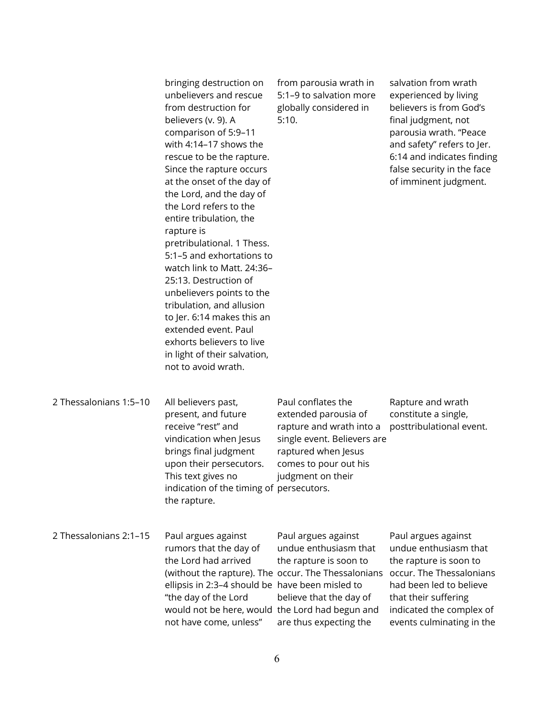bringing destruction on unbelievers and rescue from destruction for believers (v. 9). A comparison of 5:9–11 with 4:14–17 shows the rescue to be the rapture. Since the rapture occurs at the onset of the day of the Lord, and the day of the Lord refers to the entire tribulation, the rapture is pretribulational. 1 Thess. 5:1–5 and exhortations to watch link to Matt. 24:36– 25:13. Destruction of unbelievers points to the tribulation, and allusion to Jer. 6:14 makes this an extended event. Paul exhorts believers to live in light of their salvation, not to avoid wrath. 5:10.

from parousia wrath in 5:1–9 to salvation more globally considered in

salvation from wrath experienced by living believers is from God's final judgment, not parousia wrath. "Peace and safety" refers to Jer. 6:14 and indicates finding false security in the face of imminent judgment.

2 Thessalonians 1:5–10 All believers past, present, and future receive "rest" and vindication when Jesus brings final judgment upon their persecutors. This text gives no indication of the timing of persecutors. the rapture. Paul conflates the extended parousia of rapture and wrath into a single event. Believers are raptured when Jesus comes to pour out his judgment on their Rapture and wrath constitute a single, posttribulational event.

2 Thessalonians 2:1–15 Paul argues against rumors that the day of the Lord had arrived (without the rapture). The occur. The Thessalonians ellipsis in 2:3–4 should be have been misled to "the day of the Lord would not be here, would the Lord had begun and not have come, unless" Paul argues against undue enthusiasm that the rapture is soon to believe that the day of are thus expecting the Paul argues against undue enthusiasm that the rapture is soon to occur. The Thessalonians had been led to believe that their suffering indicated the complex of events culminating in the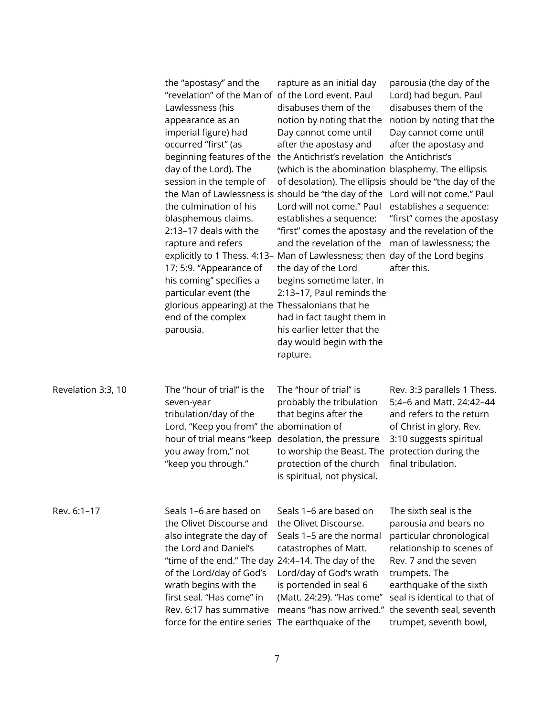|                    | the "apostasy" and the<br>"revelation" of the Man of<br>Lawlessness (his<br>appearance as an<br>imperial figure) had<br>occurred "first" (as<br>beginning features of the<br>day of the Lord). The<br>session in the temple of<br>the Man of Lawlessness is should be "the day of the<br>the culmination of his<br>blasphemous claims.<br>2:13-17 deals with the<br>rapture and refers<br>17; 5:9. "Appearance of<br>his coming" specifies a<br>particular event (the<br>glorious appearing) at the Thessalonians that he<br>end of the complex<br>parousia. | rapture as an initial day<br>of the Lord event. Paul<br>disabuses them of the<br>notion by noting that the<br>Day cannot come until<br>after the apostasy and<br>the Antichrist's revelation the Antichrist's<br>(which is the abomination blasphemy. The ellipsis<br>of desolation). The ellipsis should be "the day of the<br>Lord will not come." Paul<br>establishes a sequence:<br>"first" comes the apostasy and the revelation of the<br>and the revelation of the<br>explicitly to 1 Thess. 4:13- Man of Lawlessness; then day of the Lord begins<br>the day of the Lord<br>begins sometime later. In<br>2:13-17, Paul reminds the<br>had in fact taught them in<br>his earlier letter that the<br>day would begin with the<br>rapture. | parousia (the day of the<br>Lord) had begun. Paul<br>disabuses them of the<br>notion by noting that the<br>Day cannot come until<br>after the apostasy and<br>Lord will not come." Paul<br>establishes a sequence:<br>"first" comes the apostasy<br>man of lawlessness; the<br>after this. |
|--------------------|--------------------------------------------------------------------------------------------------------------------------------------------------------------------------------------------------------------------------------------------------------------------------------------------------------------------------------------------------------------------------------------------------------------------------------------------------------------------------------------------------------------------------------------------------------------|-------------------------------------------------------------------------------------------------------------------------------------------------------------------------------------------------------------------------------------------------------------------------------------------------------------------------------------------------------------------------------------------------------------------------------------------------------------------------------------------------------------------------------------------------------------------------------------------------------------------------------------------------------------------------------------------------------------------------------------------------|--------------------------------------------------------------------------------------------------------------------------------------------------------------------------------------------------------------------------------------------------------------------------------------------|
| Revelation 3:3, 10 | The "hour of trial" is the<br>seven-year<br>tribulation/day of the<br>Lord. "Keep you from" the abomination of<br>hour of trial means "keep<br>you away from," not<br>"keep you through."                                                                                                                                                                                                                                                                                                                                                                    | The "hour of trial" is<br>probably the tribulation<br>that begins after the<br>desolation, the pressure<br>to worship the Beast. The<br>protection of the church<br>is spiritual, not physical.                                                                                                                                                                                                                                                                                                                                                                                                                                                                                                                                                 | Rev. 3:3 parallels 1 Thess.<br>5:4-6 and Matt. 24:42-44<br>and refers to the return<br>of Christ in glory. Rev.<br>3:10 suggests spiritual<br>protection during the<br>final tribulation.                                                                                                  |
| Rev. 6:1-17        | Seals 1–6 are based on<br>the Olivet Discourse and<br>also integrate the day of<br>the Lord and Daniel's<br>"time of the end." The day 24:4-14. The day of the<br>of the Lord/day of God's<br>wrath begins with the<br>first seal. "Has come" in<br>Rev. 6:17 has summative<br>force for the entire series The earthquake of the                                                                                                                                                                                                                             | Seals 1–6 are based on<br>the Olivet Discourse.<br>Seals 1–5 are the normal<br>catastrophes of Matt.<br>Lord/day of God's wrath<br>is portended in seal 6<br>(Matt. 24:29). "Has come"<br>means "has now arrived."                                                                                                                                                                                                                                                                                                                                                                                                                                                                                                                              | The sixth seal is the<br>parousia and bears no<br>particular chronological<br>relationship to scenes of<br>Rev. 7 and the seven<br>trumpets. The<br>earthquake of the sixth<br>seal is identical to that of<br>the seventh seal, seventh<br>trumpet, seventh bowl,                         |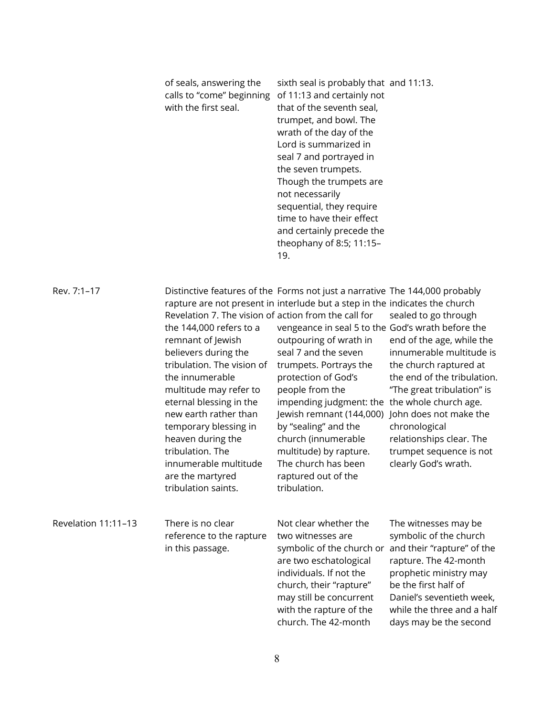| of seals, answering the   | sixth seal is probably that and 11:13. |
|---------------------------|----------------------------------------|
| calls to "come" beginning | of 11:13 and certainly not             |
| with the first seal.      | that of the seventh seal,              |
|                           | trumpet, and bowl. The                 |
|                           | wrath of the day of the                |
|                           | Lord is summarized in                  |
|                           | seal 7 and portrayed in                |
|                           | the seven trumpets.                    |
|                           | Though the trumpets are                |
|                           | not necessarily                        |
|                           | sequential, they require               |
|                           | time to have their effect              |
|                           | and certainly precede the              |
|                           | theophany of 8:5; 11:15-               |
|                           | 19.                                    |

Rev. 7:1–17 Distinctive features of the Forms not just a narrative The 144,000 probably rapture are not present in interlude but a step in the indicates the church

|                     | Revelation 7. The vision of action from the call for<br>the 144,000 refers to a<br>remnant of Jewish<br>believers during the<br>tribulation. The vision of<br>the innumerable<br>multitude may refer to<br>eternal blessing in the<br>new earth rather than<br>temporary blessing in<br>heaven during the<br>tribulation. The<br>innumerable multitude<br>are the martyred<br>tribulation saints. | vengeance in seal 5 to the God's wrath before the<br>outpouring of wrath in<br>seal 7 and the seven<br>trumpets. Portrays the<br>protection of God's<br>people from the<br>impending judgment: the<br>Jewish remnant (144,000)<br>by "sealing" and the<br>church (innumerable<br>multitude) by rapture.<br>The church has been<br>raptured out of the<br>tribulation. | sealed to go through<br>end of the age, while the<br>innumerable multitude is<br>the church raptured at<br>the end of the tribulation.<br>"The great tribulation" is<br>the whole church age.<br>John does not make the<br>chronological<br>relationships clear. The<br>trumpet sequence is not<br>clearly God's wrath. |
|---------------------|---------------------------------------------------------------------------------------------------------------------------------------------------------------------------------------------------------------------------------------------------------------------------------------------------------------------------------------------------------------------------------------------------|-----------------------------------------------------------------------------------------------------------------------------------------------------------------------------------------------------------------------------------------------------------------------------------------------------------------------------------------------------------------------|-------------------------------------------------------------------------------------------------------------------------------------------------------------------------------------------------------------------------------------------------------------------------------------------------------------------------|
| Revelation 11:11-13 | There is no clear<br>reference to the rapture<br>in this passage.                                                                                                                                                                                                                                                                                                                                 | Not clear whether the<br>two witnesses are<br>symbolic of the church or<br>are two eschatological<br>individuals. If not the<br>church, their "rapture"<br>may still be concurrent<br>with the rapture of the                                                                                                                                                         | The witnesses may be<br>symbolic of the church<br>and their "rapture" of the<br>rapture. The 42-month<br>prophetic ministry may<br>be the first half of<br>Daniel's seventieth week,<br>while the three and a half                                                                                                      |

church. The 42-month

days may be the second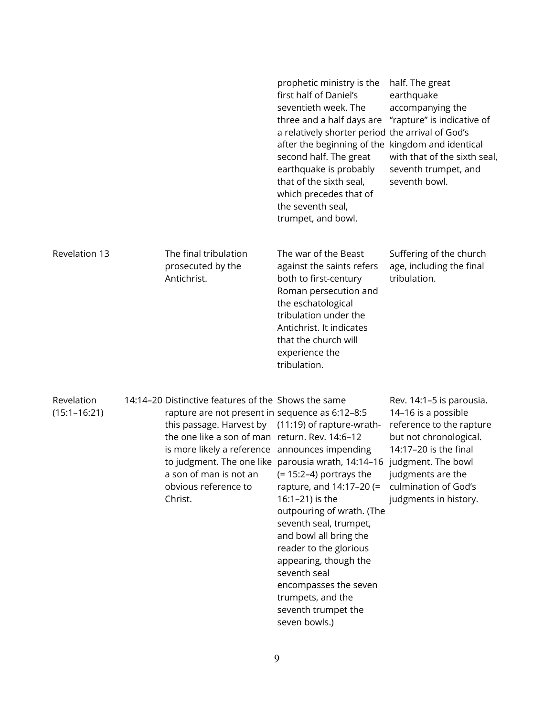|                                |                                                                                                                                                                                                                                                                                                                               | prophetic ministry is the<br>first half of Daniel's<br>seventieth week. The<br>three and a half days are<br>a relatively shorter period the arrival of God's<br>after the beginning of the kingdom and identical<br>second half. The great<br>earthquake is probably<br>that of the sixth seal,<br>which precedes that of<br>the seventh seal,<br>trumpet, and bowl.     | half. The great<br>earthquake<br>accompanying the<br>"rapture" is indicative of<br>with that of the sixth seal,<br>seventh trumpet, and<br>seventh bowl.                                                                   |
|--------------------------------|-------------------------------------------------------------------------------------------------------------------------------------------------------------------------------------------------------------------------------------------------------------------------------------------------------------------------------|--------------------------------------------------------------------------------------------------------------------------------------------------------------------------------------------------------------------------------------------------------------------------------------------------------------------------------------------------------------------------|----------------------------------------------------------------------------------------------------------------------------------------------------------------------------------------------------------------------------|
| Revelation 13                  | The final tribulation<br>prosecuted by the<br>Antichrist.                                                                                                                                                                                                                                                                     | The war of the Beast<br>against the saints refers<br>both to first-century<br>Roman persecution and<br>the eschatological<br>tribulation under the<br>Antichrist. It indicates<br>that the church will<br>experience the<br>tribulation.                                                                                                                                 | Suffering of the church<br>age, including the final<br>tribulation.                                                                                                                                                        |
| Revelation<br>$(15:1 - 16:21)$ | 14:14-20 Distinctive features of the Shows the same<br>rapture are not present in sequence as 6:12-8:5<br>this passage. Harvest by (11:19) of rapture-wrath-<br>the one like a son of man return. Rev. 14:6-12<br>is more likely a reference announces impending<br>a son of man is not an<br>obvious reference to<br>Christ. | to judgment. The one like parousia wrath, 14:14-16<br>$(= 15:2-4)$ portrays the<br>rapture, and 14:17-20 (=<br>16:1-21) is the<br>outpouring of wrath. (The<br>seventh seal, trumpet,<br>and bowl all bring the<br>reader to the glorious<br>appearing, though the<br>seventh seal<br>encompasses the seven<br>trumpets, and the<br>seventh trumpet the<br>seven bowls.) | Rev. 14:1-5 is parousia.<br>14-16 is a possible<br>reference to the rapture<br>but not chronological.<br>14:17-20 is the final<br>judgment. The bowl<br>judgments are the<br>culmination of God's<br>judgments in history. |